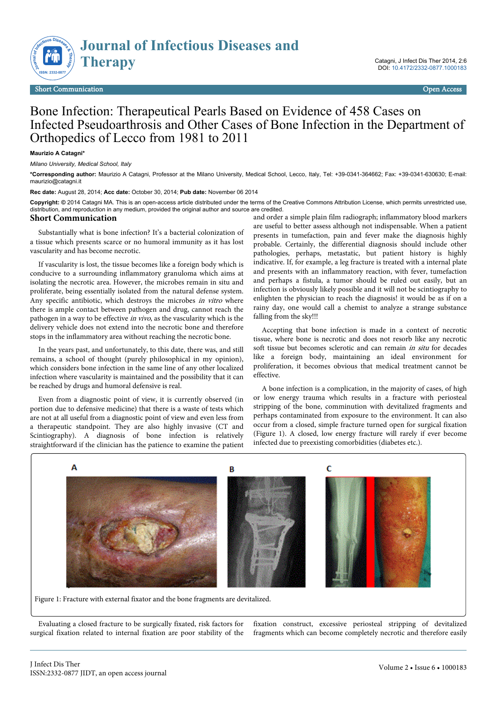

## Bone Infection: Therapeutical Pearls Based on Evidence of 458 Cases on Infected Pseudoarthrosis and Other Cases of Bone Infection in the Department of Orthopedics of Lecco from 1981 to 2011

## **Maurizio A Catagni\***

*Milano University, Medical School, Italy*

**\*Corresponding author:** Maurizio A Catagni, Professor at the Milano University, Medical School, Lecco, Italy, Tel: +39-0341-364662; Fax: +39-0341-630630; E-mail: maurizio@catagni.it

**Rec date:** August 28, 2014; **Acc date:** October 30, 2014; **Pub date:** November 06 2014

**Copyright: ©** 2014 Catagni MA. This is an open-access article distributed under the terms of the Creative Commons Attribution License, which permits unrestricted use, distribution, and reproduction in any medium, provided the original author and source are credited.

## **Short Communication**

Substantially what is bone infection? It's a bacterial colonization of a tissue which presents scarce or no humoral immunity as it has lost vascularity and has become necrotic.

If vascularity is lost, the tissue becomes like a foreign body which is conducive to a surrounding inflammatory granuloma which aims at isolating the necrotic area. However, the microbes remain in situ and proliferate, being essentially isolated from the natural defense system. Any specific antibiotic, which destroys the microbes in vitro where there is ample contact between pathogen and drug, cannot reach the pathogen in a way to be effective in vivo, as the vascularity which is the delivery vehicle does not extend into the necrotic bone and therefore stops in the inflammatory area without reaching the necrotic bone.

In the years past, and unfortunately, to this date, there was, and still remains, a school of thought (purely philosophical in my opinion), which considers bone infection in the same line of any other localized infection where vascularity is maintained and the possibility that it can be reached by drugs and humoral defensive is real.

Even from a diagnostic point of view, it is currently observed (in portion due to defensive medicine) that there is a waste of tests which are not at all useful from a diagnostic point of view and even less from a therapeutic standpoint. They are also highly invasive (CT and Scintiography). A diagnosis of bone infection is relatively straightforward if the clinician has the patience to examine the patient and order a simple plain film radiograph; inflammatory blood markers are useful to better assess although not indispensable. When a patient presents in tumefaction, pain and fever make the diagnosis highly probable. Certainly, the differential diagnosis should include other pathologies, perhaps, metastatic, but patient history is highly indicative. If, for example, a leg fracture is treated with a internal plate and presents with an inflammatory reaction, with fever, tumefaction and perhaps a fistula, a tumor should be ruled out easily, but an infection is obviously likely possible and it will not be scintiography to enlighten the physician to reach the diagnosis! it would be as if on a rainy day, one would call a chemist to analyze a strange substance falling from the sky!!!

Accepting that bone infection is made in a context of necrotic tissue, where bone is necrotic and does not resorb like any necrotic soft tissue but becomes sclerotic and can remain in situ for decades like a foreign body, maintaining an ideal environment for proliferation, it becomes obvious that medical treatment cannot be effective.

A bone infection is a complication, in the majority of cases, of high or low energy trauma which results in a fracture with periosteal stripping of the bone, comminution with devitalized fragments and perhaps contaminated from exposure to the environment. It can also occur from a closed, simple fracture turned open for surgical fixation (Figure 1). A closed, low energy fracture will rarely if ever become infected due to preexisting comorbidities (diabetes etc.).



Figure 1: Fracture with external fixator and the bone fragments are devitalized.

Evaluating a closed fracture to be surgically fixated, risk factors for surgical fixation related to internal fixation are poor stability of the fixation construct, excessive periosteal stripping of devitalized fragments which can become completely necrotic and therefore easily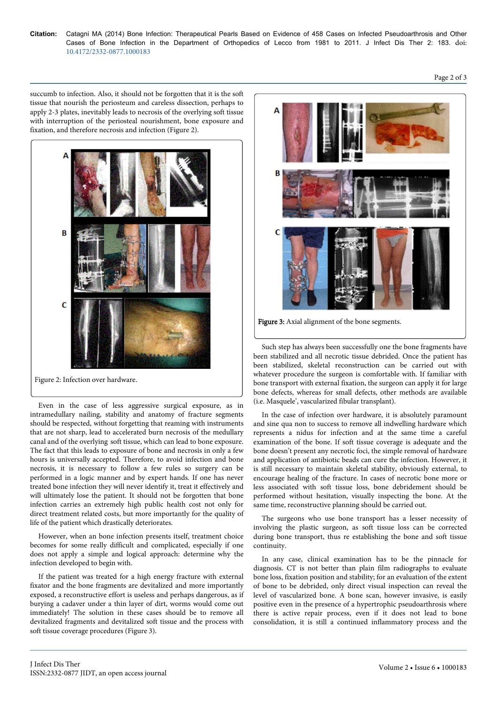**Citation:** Catagni MA (2014) Bone Infection: Therapeutical Pearls Based on Evidence of 458 Cases on Infected Pseudoarthrosis and Other Cases of Bone Infection in the Department of Orthopedics of Lecco from 1981 to 2011. J Infect Dis Ther 2: 183. doi: 10.4172/2332-0877.1000183

Page 2 of 3

succumb to infection. Also, it should not be forgotten that it is the soft tissue that nourish the periosteum and careless dissection, perhaps to apply 2-3 plates, inevitably leads to necrosis of the overlying soft tissue with interruption of the periosteal nourishment, bone exposure and fixation, and therefore necrosis and infection (Figure 2).



Figure 2: Infection over hardware.

Even in the case of less aggressive surgical exposure, as in intramedullary nailing, stability and anatomy of fracture segments should be respected, without forgetting that reaming with instruments that are not sharp, lead to accelerated burn necrosis of the medullary canal and of the overlying soft tissue, which can lead to bone exposure. The fact that this leads to exposure of bone and necrosis in only a few hours is universally accepted. Therefore, to avoid infection and bone necrosis, it is necessary to follow a few rules so surgery can be performed in a logic manner and by expert hands. If one has never treated bone infection they will never identify it, treat it effectively and will ultimately lose the patient. It should not be forgotten that bone infection carries an extremely high public health cost not only for direct treatment related costs, but more importantly for the quality of life of the patient which drastically deteriorates.

However, when an bone infection presents itself, treatment choice becomes for some really difficult and complicated, especially if one does not apply a simple and logical approach: determine why the infection developed to begin with.

If the patient was treated for a high energy fracture with external fixator and the bone fragments are devitalized and more importantly exposed, a reconstructive effort is useless and perhaps dangerous, as if burying a cadaver under a thin layer of dirt, worms would come out immediately! The solution in these cases should be to remove all devitalized fragments and devitalized soft tissue and the process with soft tissue coverage procedures (Figure 3).



Such step has always been successfully one the bone fragments have been stabilized and all necrotic tissue debrided. Once the patient has been stabilized, skeletal reconstruction can be carried out with whatever procedure the surgeon is comfortable with. If familiar with bone transport with external fixation, the surgeon can apply it for large bone defects, whereas for small defects, other methods are available (i.e. Masquele', vascularized fibular transplant).

In the case of infection over hardware, it is absolutely paramount and sine qua non to success to remove all indwelling hardware which represents a nidus for infection and at the same time a careful examination of the bone. If soft tissue coverage is adequate and the bone doesn't present any necrotic foci, the simple removal of hardware and application of antibiotic beads can cure the infection. However, it is still necessary to maintain skeletal stability, obviously external, to encourage healing of the fracture. In cases of necrotic bone more or less associated with soft tissue loss, bone debridement should be performed without hesitation, visually inspecting the bone. At the same time, reconstructive planning should be carried out.

The surgeons who use bone transport has a lesser necessity of involving the plastic surgeon, as soft tissue loss can be corrected during bone transport, thus re establishing the bone and soft tissue continuity.

In any case, clinical examination has to be the pinnacle for diagnosis. CT is not better than plain film radiographs to evaluate bone loss, fixation position and stability; for an evaluation of the extent of bone to be debrided, only direct visual inspection can reveal the level of vascularized bone. A bone scan, however invasive, is easily positive even in the presence of a hypertrophic pseudoarthrosis where there is active repair process, even if it does not lead to bone consolidation, it is still a continued inflammatory process and the